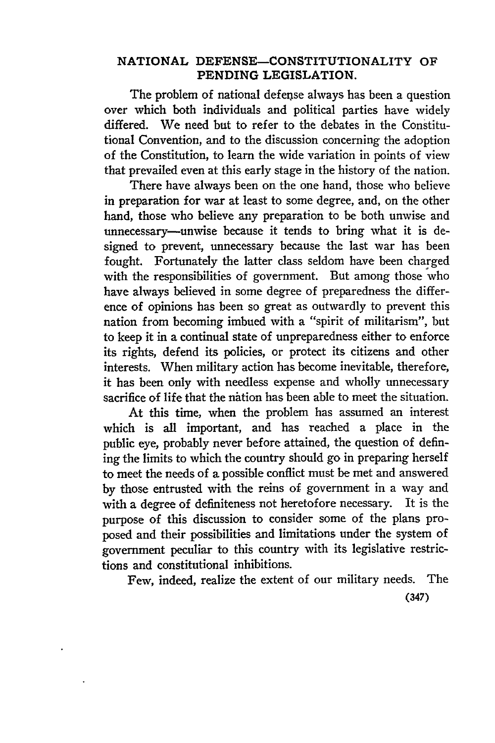## NATIONAL **DEFENSE-CONSTITUTIONALITY** OF PENDING LEGISLATION.

The problem of national defense always has been a question over which both individuals and political parties have widely differed. We need but to refer to the debates in the Constitutional Convention, and to the discussion concerning the adoption of the Constitution, to learn the wide variation in points of view that prevailed even at this early stage in the history of the nation.

There have always been on the one hand, those who believe in preparation for war at least to some degree, and, on the other hand, those who believe any preparation to be both unwise and unnecessary-unwise because it tends to bring what it is designed to prevent, unnecessary because the last war has been fought. Fortunately the latter class seldom have been charged with the responsibilities of government. But among those who have always believed in some degree of preparedness the difference of opinions has been so great as outwardly to prevent this nation from becoming imbued with a "spirit of militarism", but to keep it in a continual state of unpreparedness either to enforce its rights, defend its policies, or protect its citizens and other interests. When military action has become inevitable, therefore, it has been only with needless expense and wholly unnecessary sacrifice of life that the nation has been able to meet the situation.

At this time, when the problem has assumed an interest which is all important, and has reached a place in the public eye, probably never before attained, the question of defining the limits to which the country should go in preparing herself to meet the needs of a possible conflict must be met and answered by those entrusted with the reins of government in a way and with a degree of definiteness not heretofore necessary. It is the purpose of this discussion to consider some of the plans proposed and their possibilities and limitations under the system of government peculiar to this country with its legislative restrictions and constitutional inhibitions.

Few, indeed, realize the extent of our military needs. The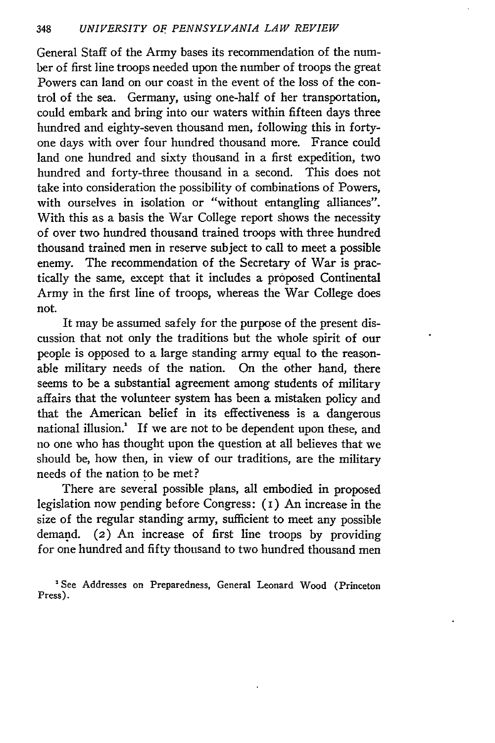General Staff of the Army bases its recommendation of the number of first line troops needed upon the number of troops the great Powers can land on our coast in the event of the loss of the control of the sea. Germany, using one-half of her transportation, could embark and bring into our waters within fifteen days three hundred and eighty-seven thousand men, following this in fortyone days with over four hundred thousand more. France could land one hundred and sixty thousand in a first expedition, two hundred and forty-three thousand in a second. This does not take into consideration the possibility of combinations of Powers, with ourselves in isolation or "without entangling alliances". With this as a basis the War College report shows the necessity of over two hundred thousand trained troops with three hundred thousand trained men in reserve subject to call to meet a possible enemy. The recommendation of the Secretary of War is practically the same, except that it includes a proposed Continental Army in the first line of troops, whereas the War College does not.

It may be assumed safely for the purpose of the present discussion that not only the traditions but the whole spirit of our people is opposed to a large standing army equal to the reasonable military needs of the nation. On the other hand, there seems to be a substantial agreement among students of military affairs that the volunteer system has been a mistaken policy and that the American belief in its effectiveness is a dangerous national illusion.' If we are not to be dependent upon these, and no one who has thought upon the question at all believes that we should be, how then, in view of our traditions, are the military needs of the nation to be met?

There are several possible plans, all embodied in proposed legislation now pending before Congress: (i) An increase in the size of the regular standing army, sufficient to meet any possible demand. (2) An increase of first line troops by providing for one hundred and fifty thousand to two hundred thousand men

<sup>&#</sup>x27;See Addresses on Preparedness, General Leonard Wood (Princeton Press).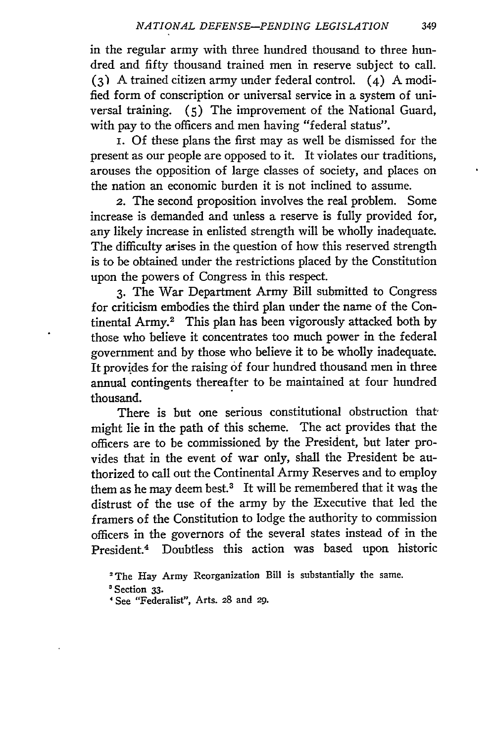in the regular army with three hundred thousand to three hundred and fifty thousand trained men in reserve subject to call. **(3)** A trained citizen army under federal control. (4) A modified form of conscription or universal service in a system of universal training. (5) The improvement of the National Guard, with pay to the officers and men having "federal status".

i. Of these plans the first may as well be dismissed for the present as our people are opposed to it. It violates our traditions, arouses the opposition of large classes of society, and places on the nation an economic burden it is not inclined to assume.

2. The second proposition involves the real problem. Some increase is demanded and unless a reserve is fully provided for, any likely increase in enlisted strength will be wholly inadequate. The difficulty arises in the question of how this reserved strength is to be obtained under the restrictions placed by the Constitution upon the powers of Congress in this respect.

3. The War Department Army Bill submitted to Congress for criticism embodies the third plan under the name of the Continental Army.<sup>2</sup> This plan has been vigorously attacked both by those who believe it concentrates too much power in the federal government and by those who believe it to be wholly inadequate. It provides for the raising of four hundred thousand men in three annual contingents thereafter to be maintained at four hundred thousand.

There is but one serious constitutional obstruction that' might lie in the path of this scheme. The act provides that the officers are to be commissioned by the President, but later provides that in the event of war only, shall the President be authorized to call out the Continental Army Reserves and to employ them as he may deem best.<sup>3</sup> It will be remembered that it was the distrust of the use of the army by the Executive that led the framers of the Constitution to lodge the authority to commission officers in the governors of the several states instead of in the President.4 Doubtless this action was based upon historic

<sup>&#</sup>x27;The Hay Army Reorganization Bill is substantially the same.

**<sup>&#</sup>x27;** Section **33.**

<sup>&#</sup>x27;See "Federalist", Arts. **28** and 29.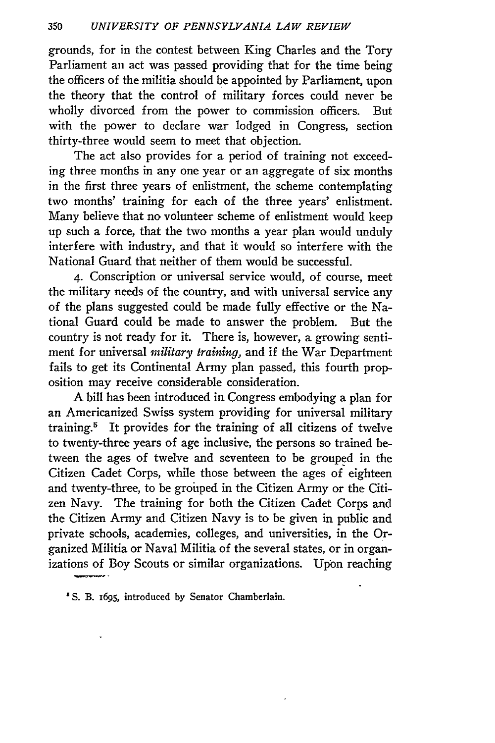grounds, for in the contest between King Charles and the Tory Parliament an act was passed providing that for the time being the officers of the militia should be appointed by Parliament, upon the theory that the control of military forces could never be wholly divorced from the power to commission officers. But with the power to declare war lodged in Congress, section thirty-three would seem to meet that objection.

The act also provides for a period of training not exceeding three months in any one year or an aggregate of six months in the first three years of enlistment, the scheme contemplating two months' training for each of the three years' enlistment. Many believe that no volunteer scheme of enlistment would keep up such a force, that the two months a year plan would unduly interfere with industry, and that it would so interfere with the National Guard that neither of them would be successful.

4. Conscription or universal service would, of course, meet the military needs of the country, and with universal service any of the plans suggested could be made fully effective or the National Guard could be made to answer the problem. But the country is not ready for it. There is, however, a growing sentiment for universal *military training,* and if the War Department fails to get its Continental Army plan passed, this fourth proposition may receive considerable consideration.

A bill has been introduced in Congress embodying a plan for an Americanized Swiss system providing for universal military training.5 It provides for the training of all citizens of twelve to twenty-three years of age inclusive, the persons so trained between the ages of twelve and seventeen to be grouped in the Citizen Cadet Corps, while those between the ages of eighteen and twenty-three, to be grouped in the Citizen Army or the Citizen Navy. The training for both the Citizen Cadet Corps and the Citizen Army and Citizen Navy is to be given in public and private schools, academies, colleges, and universities, in the Organized Militia or Naval Militia of the several states, or in organizations of Boy Scouts or similar organizations. Upon reaching

**<sup>&</sup>quot;S. B.** *i695,* introduced **by** Senator Chamberlain.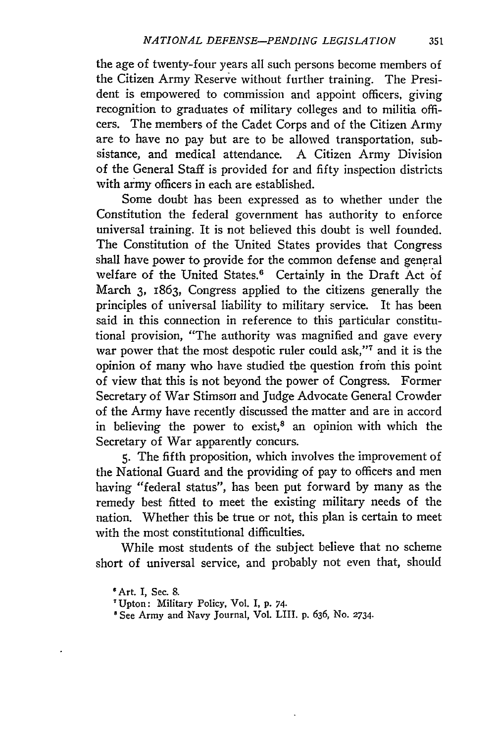the age of twenty-four years all such persons become members of the Citizen Army Reserve without further training. The President is empowered to commission and appoint officers, giving recognition to graduates of military colleges and to militia officers. The members of the Cadet Corps and of the Citizen Army are to have no pay but are to be allowed transportation, subsistance, and medical attendance. A Citizen Army Division of the General Staff is provided for and fifty inspection districts with army officers in each are established.

Some doubt has been expressed as to whether under the Constitution the federal government has authority to enforce universal training. It is not believed this doubt is well founded. The Constitution of the United States provides that Congress shall have power to provide for the common defense and general welfare of the United States.<sup>6</sup> Certainly in the Draft Act of March 3, 1863, Congress applied to the citizens generally the principles of universal liability to military service. It has been said in this connection in reference to this particular constitutional provision, "The authority was magnified and gave every war power that the most despotic ruler could ask,"<sup>7</sup> and it is the opinion of many who have studied the question from' this point of view that this is not beyond the power of Congress. Former Secretary of War Stimson and Judge Advocate General Crowder of the Army have recently discussed the matter and are in accord in believing the power to exist, $8$  an opinion with which the Secretary of War apparently concurs.

**5.** The fifth proposition, which involves the improvement of the National Guard and the providing of pay to officets and men having "federal status", has been put forward by many as the remedy best fitted to meet the existing military needs of the nation. Whether this be true or not, this plan is certain to meet with the most constitutional difficulties.

While most students of the subject believe that no scheme short of universal service, and probably not even that, should

<sup>&#</sup>x27;Art. I, Sec. 8.

<sup>&</sup>quot;Upton: Military Policy, Vol. I, p. 74.

**<sup>&</sup>quot;** See Army and Navy Journal, Vol. LIII. p. 636, No. 2734.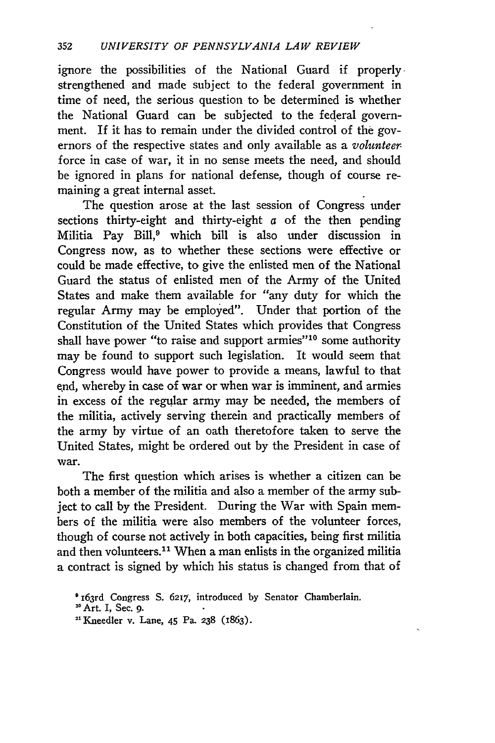ignore the possibilities of the National Guard if properlystrengthened and made subject to the federal government in time of need, the serious question to be determined is whether the National Guard can be subjected to the federal government. If it has to remain under the divided control of the governors of the respective states and only available as a *volunteer* force in case of war, it in no sense meets the need, and should be ignored in plans for national defense, though of course remaining a great internal asset.

The question arose at the last session of Congress under sections thirty-eight and thirty-eight a of the then pending Militia Pay Bill,9 which bill is also under discussion in Congress now, as to whether these sections were effective or could be made effective, to give the enlisted men of the National Guard the status of enlisted men of the Army of the United States and make them available for "any duty for which the regular Army may be employed". Under that portion of the Constitution of the United States which provides that Congress shall have power "to raise and support armies"<sup>10</sup> some authority may be found to support such legislation. It would seem that Congress would have power to provide a means, lawful to that end, whereby in case of war or when war is imminent, and armies in excess of the regular army may be needed, the members of the militia, actively serving therein and practically members of the army by virtue of an oath theretofore taken to serve the United States, might be ordered out by the President in case of war.

The first question which arises is whether a citizen can be both a member of the militia and also a member of the army subject to call by the President. During the War with Spain members of the militia were also members of the volunteer forces, though of course not actively in both capacities, being first militia and then volunteers.<sup>11</sup> When a man enlists in the organized militia a contract is signed by which his status is changed from that of

<sup>&</sup>lt;sup>9</sup> 163rd Congress S. 6217, introduced by Senator Chamberlain. **10** Art. I, Sec. **9.** "Kneedler v. Lane, 45 Pa. **238** (1863).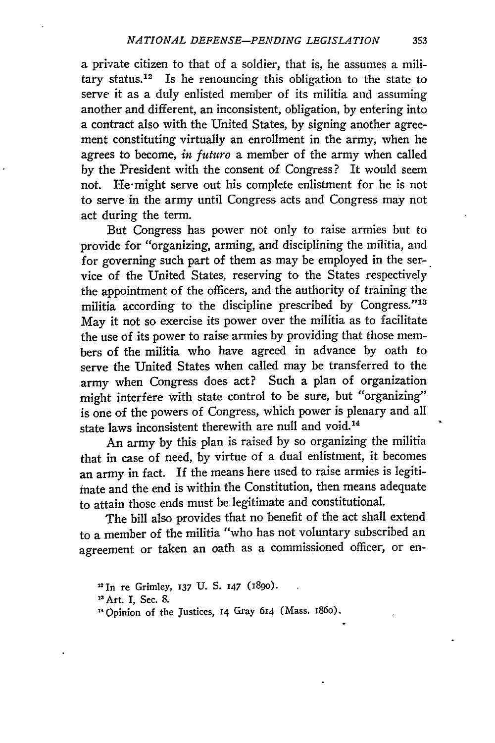a private citizen to that of a soldier, that is, he assumes a military status.<sup>12</sup> Is he renouncing this obligation to the state to serve it as a duly enlisted member of its militia and assuming another and different, an inconsistent, obligation, by entering into a contract also with the United States, by signing another agreement constituting virtually an enrollment in the army, when he agrees to become, *in futuro* a member of the army when called by the President with the consent of Congress? It would seem not. He-might serve out his complete enlistment for he is not to serve in the army until Congress acts and Congress may not act during the term.

But Congress has power not only to raise armies but to provide for "organizing, arming, and disciplining the militia, and for governing such part of them as may be employed in the service of the United States, reserving to the States respectively the appointment of the officers, and the authority of training the militia according to the discipline prescribed by Congress."<sup>13</sup> May it not so exercise its power over the militia as to facilitate the use of its power to raise armies by providing that those members of the militia who have agreed in advance by oath to serve the United States when called may be transferred to the army when Congress does act? Such a plan of organization might interfere with state control to be sure, but "organizing" is one of the powers of Congress, which power is plenary and all state laws inconsistent therewith are null and void.<sup>14</sup>

An army by this plan is raised by so organizing the militia that in case of need, by virtue of a dual enlistment, it becomes an army in fact. If the means here used to raise armies is legitimate and the end is within the Constitution, then means adequate to attain those ends must be legitimate and constitutional.

The bill also provides that no benefit of the act shall extend to a member of the militia "who has not voluntary subscribed an agreement or taken an oath as a commissioned officer, or en-

12In re Grimley, **137 U. S. 147** (I89O). **3** Art. I, Sec. 8.

353

**<sup>&</sup>quot;4** Opinion of the Justices, **14** Gray 614 (Mass. i86o),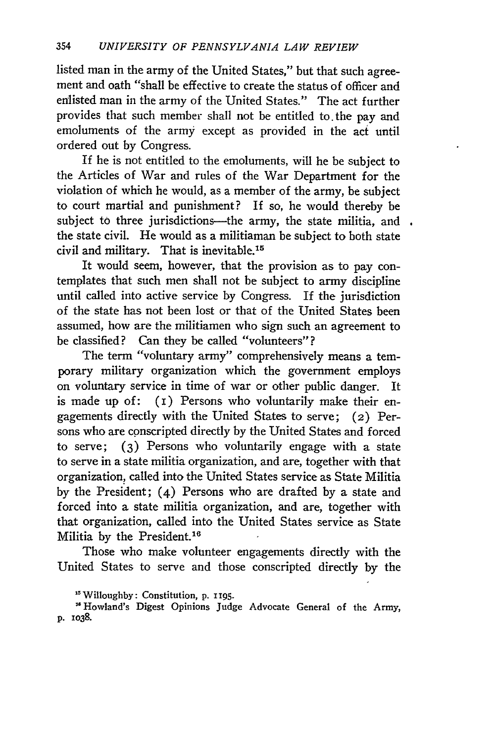listed man in the army of the United States," but that such agreement and oath "shall be effective to create the status of officer and enlisted man in the army of the United States." The act further provides that such member shall not be entitled to. the pay and emoluments of the army except as provided in the act until ordered out by Congress.

If he is not entitled to the emoluments, will he be subject to the Articles of War and rules of the War Department for the violation of which he would, as a member of the army, be subject to court martial and punishment? If so, he would thereby be subject to three jurisdictions—the army, the state militia, and. the state civil. He would as a militiaman be subject to both state civil and military. That is inevitable.<sup>15</sup>

It would seem, however, that the provision as to pay contemplates that such men shall not be subject to army discipline until called into active service by Congress. If the jurisdiction of the state has not been lost or that of the United States been assumed, how are the militiamen who sign such an agreement to be classified? Can they be called "volunteers"?

The term "voluntary army" comprehensively means a temporary military organization which the government employs on voluntary service in time of war or other public danger. It is made up of: (i) Persons who voluntarily make their engagements directly with the United States to serve; (2) Persons who are conscripted directly by the United States and forced to serve; **(3)** Persons who voluntarily engage with a state to serve in a state militia organization, and are, together with that organization, called into the United States service as State Militia by the President; (4) Persons who are drafted by a state and forced into a state militia organization, and are, together with that organization, called into the United States service as State Militia by the President.<sup>16</sup>

Those who make volunteer engagements directly with the United States to serve and those conscripted directly by the

<sup>&</sup>quot;Willoughby: Constitution, p. 1195.

<sup>&</sup>lt;sup>16</sup> Howland's Digest Opinions Judge Advocate General of the Army, p. **1038.**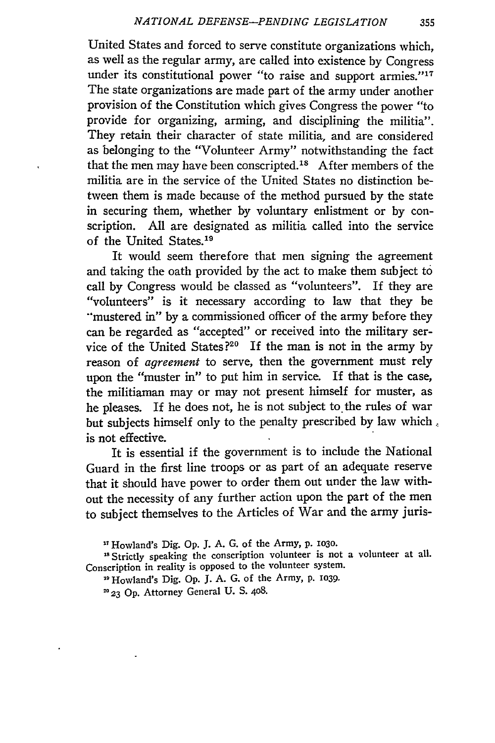United States and forced to serve constitute organizations which, as well as the regular army, are called into existence by Congress under its constitutional power "to raise and support armies."<sup>17</sup> The state organizations are made part of the army under another provision of the Constitution which gives Congress the power "to provide for organizing, arming, and disciplining the militia". They retain their character of state militia, and are considered as belonging to the "Volunteer Army" notwithstanding the fact that the men may have been conscripted.<sup>18</sup> After members of the militia are in the service of the United States no distinction between them is made because of the method pursued by the state in securing them, whether by voluntary enlistment or by conscription. All are designated as militia called into the service of the United States.<sup>19</sup>

It would seem therefore that men signing the agreement and taking the oath provided by the act to make them subject to call by Congress would be classed as "volunteers". If they are "volunteers" is it necessary according to law that they be "mustered in" by a commissioned officer of the army before they can be regarded as "accepted" or received into the military service of the United States ?20 If the man is not in the army by reason of *agreement* to serve, then the government must rely upon the "muster in" to put him in service. If that is the case, the militiaman may or may not present himself for muster, as he pleases. If he does not, he is not subject to the rules of war but subjects himself only to the penalty prescribed by law which, is not effective.

It is essential if the government is to include the National Guard in the first line troops or as part of an adequate reserve that it should have power to order them out under the law without the necessity of any further action upon the part of the men to subject themselves to the Articles of War and the army juris-

THowland's Dig. **Op. J. A. G.** of the Army, **p. 1030.**

<sup>18</sup> Strictly speaking the conscription volunteer is not a volunteer at all. Conscription in reality is opposed to the volunteer system.

"Howland's Dig. Op. **J. A. G.** of the Army, **p. 1039.**

**20 23 Op.** Attorney General **U. S.** 408.